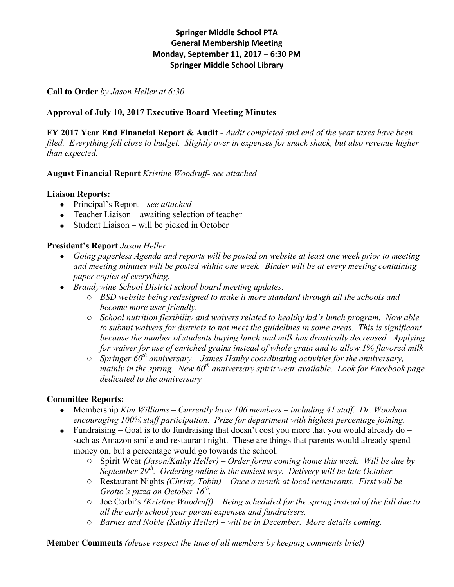# **Springer Middle School PTA General Membership Meeting Monday, September 11, 2017 – 6:30 PM Springer Middle School Library**

**Call to Order** *by Jason Heller at 6:30*

# **Approval of July 10, 2017 Executive Board Meeting Minutes**

**FY 2017 Year End Financial Report & Audit** - *Audit completed and end of the year taxes have been filed. Everything fell close to budget. Slightly over in expenses for snack shack, but also revenue higher than expected.*

## **August Financial Report** *Kristine Woodruff- see attached*

## **Liaison Reports:**

- Principal's Report *– see attached*
- Teacher Liaison awaiting selection of teacher
- Student Liaison will be picked in October

#### **President's Report** *Jason Heller*

- *Going paperless Agenda and reports will be posted on website at least one week prior to meeting and meeting minutes will be posted within one week. Binder will be at every meeting containing paper copies of everything.*
- *Brandywine School District school board meeting updates:* 
	- o *BSD website being redesigned to make it more standard through all the schools and become more user friendly.*
	- o *School nutrition flexibility and waivers related to healthy kid's lunch program. Now able to submit waivers for districts to not meet the guidelines in some areas. This is significant because the number of students buying lunch and milk has drastically decreased. Applying for waiver for use of enriched grains instead of whole grain and to allow 1% flavored milk*
	- o *Springer 60th anniversary – James Hanby coordinating activities for the anniversary, mainly in the spring. New 60th anniversary spirit wear available. Look for Facebook page dedicated to the anniversary*

## **Committee Reports:**

- Membership *Kim Williams – Currently have 106 members – including 41 staff. Dr. Woodson encouraging 100% staff participation. Prize for department with highest percentage joining.*
- Fundraising Goal is to do fundraising that doesn't cost you more that you would already do such as Amazon smile and restaurant night. These are things that parents would already spend money on, but a percentage would go towards the school.
	- o Spirit Wear *(Jason/Kathy Heller) – Order forms coming home this week. Will be due by September 29th. Ordering online is the easiest way. Delivery will be late October.*
	- o Restaurant Nights *(Christy Tobin) – Once a month at local restaurants. First will be Grotto's pizza on October 16<sup>th</sup>.*
	- o Joe Corbi's *(Kristine Woodruff) – Being scheduled for the spring instead of the fall due to all the early school year parent expenses and fundraisers.*
	- o *Barnes and Noble (Kathy Heller) – will be in December. More details coming.*

**Member Comments** *(please respect the time of all members by keeping comments brief)*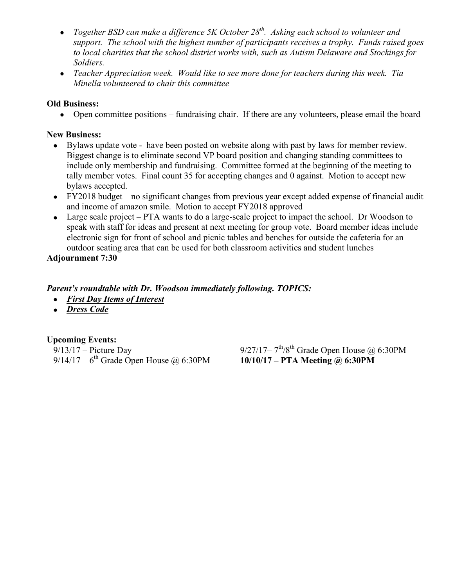- *Together BSD can make a difference 5K October 28th. Asking each school to volunteer and support. The school with the highest number of participants receives a trophy. Funds raised goes to local charities that the school district works with, such as Autism Delaware and Stockings for Soldiers.*
- *Teacher Appreciation week. Would like to see more done for teachers during this week. Tia Minella volunteered to chair this committee*

### **Old Business:**

• Open committee positions – fundraising chair. If there are any volunteers, please email the board

### **New Business:**

- Bylaws update vote have been posted on website along with past by laws for member review. Biggest change is to eliminate second VP board position and changing standing committees to include only membership and fundraising. Committee formed at the beginning of the meeting to tally member votes. Final count 35 for accepting changes and 0 against. Motion to accept new bylaws accepted.
- FY2018 budget no significant changes from previous year except added expense of financial audit and income of amazon smile. Motion to accept FY2018 approved
- Large scale project PTA wants to do a large-scale project to impact the school. Dr Woodson to speak with staff for ideas and present at next meeting for group vote. Board member ideas include electronic sign for front of school and picnic tables and benches for outside the cafeteria for an outdoor seating area that can be used for both classroom activities and student lunches

**Adjournment 7:30**

#### *Parent's roundtable with Dr. Woodson immediately following. TOPICS:*

- *First Day Items of Interest*
- *Dress Code*

**Upcoming Events:**

9/14/17 – 6<sup>th</sup> Grade Open House @ 6:30PM

9/13/17 – Picture Day 9/27/17–  $7^{\text{th}}/8^{\text{th}}$  Grade Open House @ 6:30PM<br>9/14/17 – 6<sup>th</sup> Grade Open House @ 6:30PM **10/10/17 – PTA Meeting @ 6:30PM**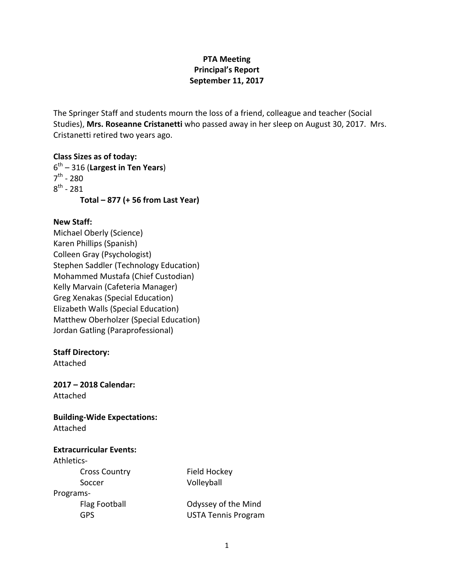# **PTA Meeting Principal's Report September 11, 2017**

The Springer Staff and students mourn the loss of a friend, colleague and teacher (Social Studies), Mrs. Roseanne Cristanetti who passed away in her sleep on August 30, 2017. Mrs. Cristanetti retired two years ago.

**Class Sizes as of today:**  $6<sup>th</sup> - 316$  (Largest in Ten Years)  $7^{th}$  - 280  $8^{th}$  - 281 **Total – 877 (+ 56 from Last Year)**

#### **New Staff:**

Michael Oberly (Science) Karen Phillips (Spanish) Colleen Gray (Psychologist) Stephen Saddler (Technology Education) Mohammed Mustafa (Chief Custodian) Kelly Marvain (Cafeteria Manager) Greg Xenakas (Special Education) Elizabeth Walls (Special Education) Matthew Oberholzer (Special Education) Jordan Gatling (Paraprofessional)

#### **Staff Directory:**

Attached

**2017 – 2018 Calendar:** Attached

**Building-Wide Expectations:** Attached

**Extracurricular Events:** Athletics-Cross Country Field Hockey Soccer Volleyball Programs-

Flag Football **Communist Contract Contract Contract Contract Contract Contract Contract Contract Contract Contract Contract Contract Contract Contract Contract Contract Contract Contract Contract Contract Contract Contract** GPS **USTA Tennis Program**